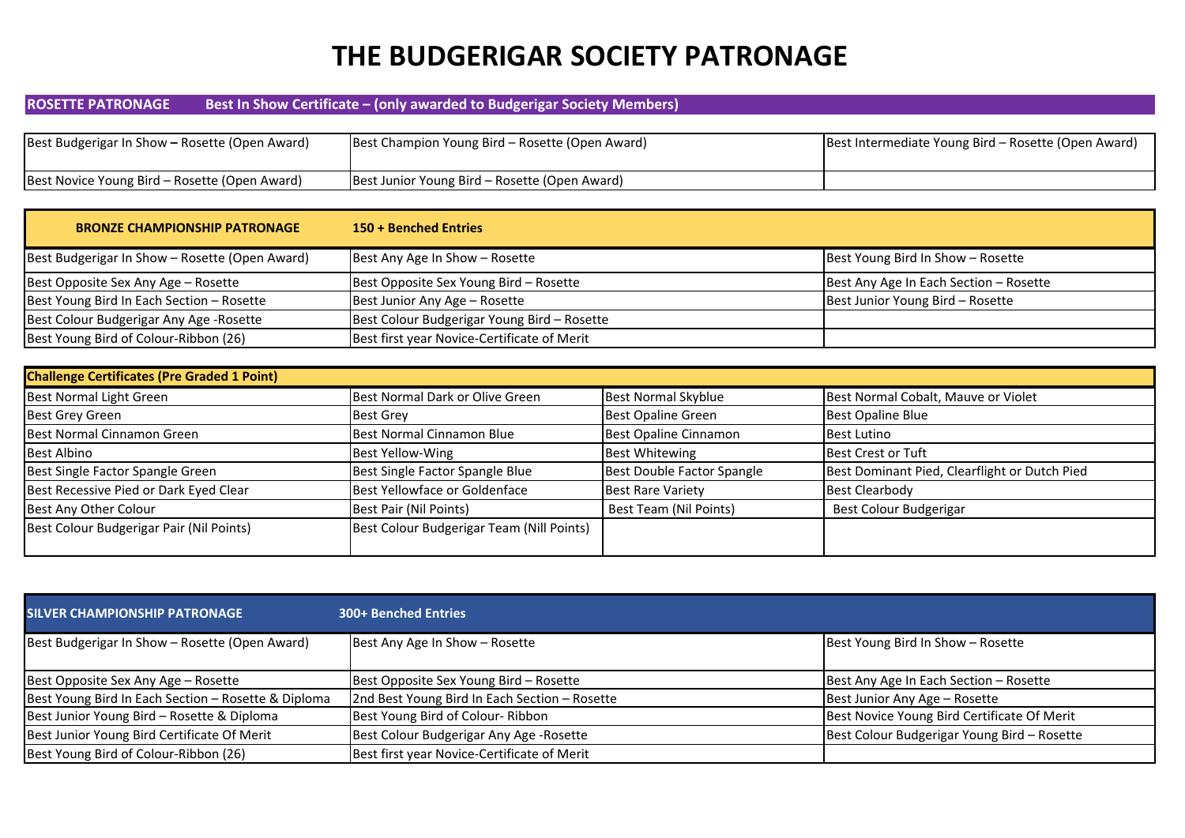# **THE BUDGERIGAR SOCIETY PATRONAGE**

## **ROSETTE PATRONAGE Best In Show Certificate – (only awarded to Budgerigar Society Members)**

| Best Budgerigar In Show – Rosette (Open Award) | Best Champion Young Bird – Rosette (Open Award) | Best Intermediate Young Bird – Rosette (Open Award) |
|------------------------------------------------|-------------------------------------------------|-----------------------------------------------------|
| Best Novice Young Bird – Rosette (Open Award)  | Best Junior Young Bird – Rosette (Open Award)   |                                                     |

| <b>BRONZE CHAMPIONSHIP PATRONAGE</b>           | 150 + Benched Entries                       |                                        |
|------------------------------------------------|---------------------------------------------|----------------------------------------|
| Best Budgerigar In Show - Rosette (Open Award) | Best Any Age In Show - Rosette              | Best Young Bird In Show - Rosette      |
| Best Opposite Sex Any Age - Rosette            | Best Opposite Sex Young Bird - Rosette      | Best Any Age In Each Section - Rosette |
| Best Young Bird In Each Section - Rosette      | Best Junior Any Age - Rosette               | Best Junior Young Bird - Rosette       |
| Best Colour Budgerigar Any Age - Rosette       | Best Colour Budgerigar Young Bird - Rosette |                                        |
| Best Young Bird of Colour-Ribbon (26)          | Best first year Novice-Certificate of Merit |                                        |

| <b>Challenge Certificates (Pre Graded 1 Point)</b> |                                           |                            |                                               |
|----------------------------------------------------|-------------------------------------------|----------------------------|-----------------------------------------------|
| Best Normal Light Green                            | Best Normal Dark or Olive Green           | <b>Best Normal Skyblue</b> | Best Normal Cobalt, Mauve or Violet           |
| <b>Best Grey Green</b>                             | <b>Best Grey</b>                          | <b>Best Opaline Green</b>  | <b>Best Opaline Blue</b>                      |
| Best Normal Cinnamon Green                         | Best Normal Cinnamon Blue                 | Best Opaline Cinnamon      | <b>Best Lutino</b>                            |
| <b>Best Albino</b>                                 | Best Yellow-Wing                          | <b>Best Whitewing</b>      | <b>Best Crest or Tuft</b>                     |
| Best Single Factor Spangle Green                   | Best Single Factor Spangle Blue           | Best Double Factor Spangle | Best Dominant Pied, Clearflight or Dutch Pied |
| Best Recessive Pied or Dark Eyed Clear             | Best Yellowface or Goldenface             | <b>Best Rare Variety</b>   | <b>Best Clearbody</b>                         |
| Best Any Other Colour                              | Best Pair (Nil Points)                    | Best Team (Nil Points)     | Best Colour Budgerigar                        |
| Best Colour Budgerigar Pair (Nil Points)           | Best Colour Budgerigar Team (Nill Points) |                            |                                               |

| <b>SILVER CHAMPIONSHIP PATRONAGE</b>                | <b>300+ Benched Entries</b>                   |                                             |
|-----------------------------------------------------|-----------------------------------------------|---------------------------------------------|
| Best Budgerigar In Show - Rosette (Open Award)      | Best Any Age In Show - Rosette                | Best Young Bird In Show - Rosette           |
| Best Opposite Sex Any Age - Rosette                 | Best Opposite Sex Young Bird - Rosette        | Best Any Age In Each Section - Rosette      |
| Best Young Bird In Each Section - Rosette & Diploma | 2nd Best Young Bird In Each Section - Rosette | Best Junior Any Age - Rosette               |
| Best Junior Young Bird - Rosette & Diploma          | Best Young Bird of Colour-Ribbon              | Best Novice Young Bird Certificate Of Merit |
| Best Junior Young Bird Certificate Of Merit         | Best Colour Budgerigar Any Age - Rosette      | Best Colour Budgerigar Young Bird - Rosette |
| Best Young Bird of Colour-Ribbon (26)               | Best first year Novice-Certificate of Merit   |                                             |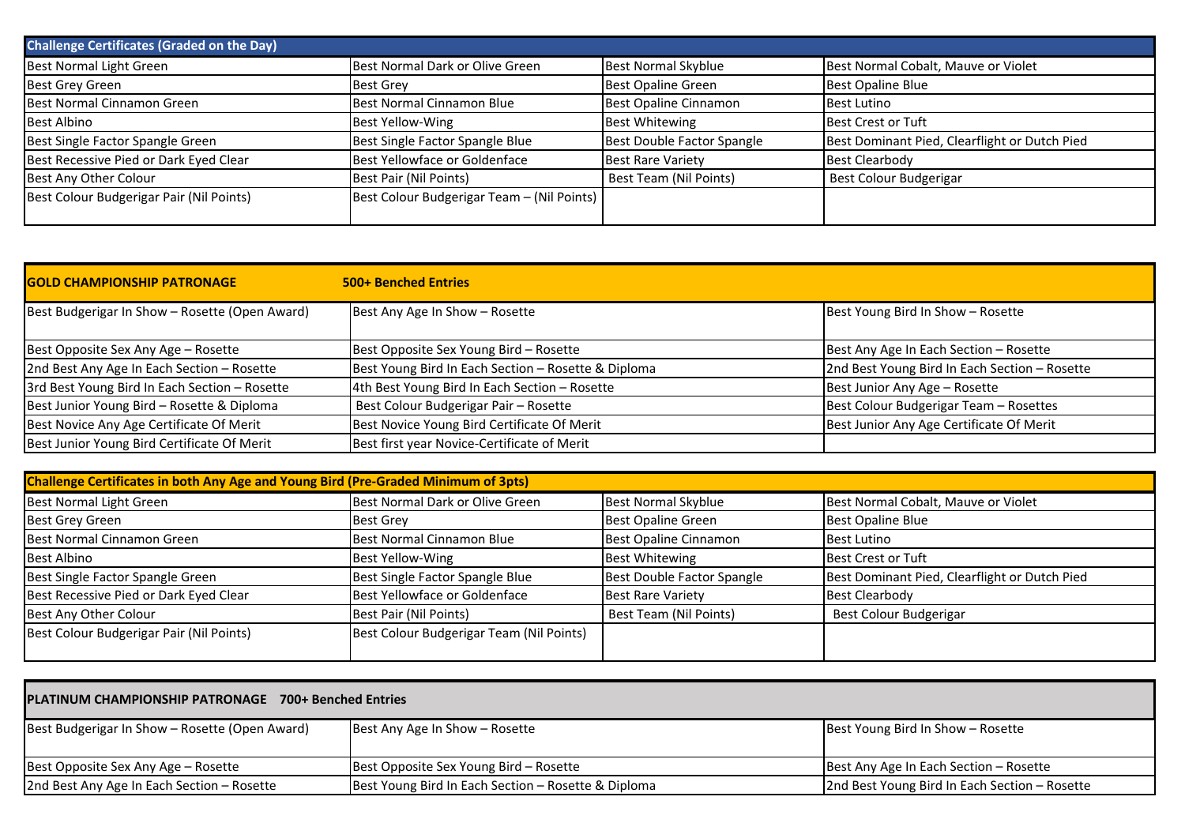| <b>Challenge Certificates (Graded on the Day)</b> |                                            |                            |                                               |
|---------------------------------------------------|--------------------------------------------|----------------------------|-----------------------------------------------|
| Best Normal Light Green                           | Best Normal Dark or Olive Green            | <b>Best Normal Skyblue</b> | Best Normal Cobalt, Mauve or Violet           |
| <b>Best Grey Green</b>                            | <b>Best Grey</b>                           | <b>Best Opaline Green</b>  | <b>Best Opaline Blue</b>                      |
| Best Normal Cinnamon Green                        | Best Normal Cinnamon Blue                  | Best Opaline Cinnamon      | Best Lutino                                   |
| Best Albino                                       | Best Yellow-Wing                           | <b>Best Whitewing</b>      | Best Crest or Tuft                            |
| Best Single Factor Spangle Green                  | Best Single Factor Spangle Blue            | Best Double Factor Spangle | Best Dominant Pied, Clearflight or Dutch Pied |
| Best Recessive Pied or Dark Eyed Clear            | Best Yellowface or Goldenface              | <b>Best Rare Variety</b>   | <b>Best Clearbody</b>                         |
| Best Any Other Colour                             | Best Pair (Nil Points)                     | Best Team (Nil Points)     | Best Colour Budgerigar                        |
| Best Colour Budgerigar Pair (Nil Points)          | Best Colour Budgerigar Team - (Nil Points) |                            |                                               |

| <b>GOLD CHAMPIONSHIP PATRONAGE</b>             | <b>500+ Benched Entries</b>                         |                                               |
|------------------------------------------------|-----------------------------------------------------|-----------------------------------------------|
| Best Budgerigar In Show - Rosette (Open Award) | Best Any Age In Show - Rosette                      | Best Young Bird In Show - Rosette             |
| Best Opposite Sex Any Age - Rosette            | Best Opposite Sex Young Bird - Rosette              | Best Any Age In Each Section - Rosette        |
| 2nd Best Any Age In Each Section - Rosette     | Best Young Bird In Each Section - Rosette & Diploma | 2nd Best Young Bird In Each Section - Rosette |
| 3rd Best Young Bird In Each Section - Rosette  | 4th Best Young Bird In Each Section - Rosette       | Best Junior Any Age - Rosette                 |
| Best Junior Young Bird - Rosette & Diploma     | Best Colour Budgerigar Pair - Rosette               | Best Colour Budgerigar Team - Rosettes        |
| Best Novice Any Age Certificate Of Merit       | Best Novice Young Bird Certificate Of Merit         | Best Junior Any Age Certificate Of Merit      |
| Best Junior Young Bird Certificate Of Merit    | Best first year Novice-Certificate of Merit         |                                               |

| Challenge Certificates in both Any Age and Young Bird (Pre-Graded Minimum of 3pts) |                                          |                            |                                               |
|------------------------------------------------------------------------------------|------------------------------------------|----------------------------|-----------------------------------------------|
| Best Normal Light Green                                                            | Best Normal Dark or Olive Green          | <b>Best Normal Skyblue</b> | Best Normal Cobalt, Mauve or Violet           |
| <b>Best Grey Green</b>                                                             | <b>Best Grey</b>                         | <b>Best Opaline Green</b>  | <b>Best Opaline Blue</b>                      |
| Best Normal Cinnamon Green                                                         | Best Normal Cinnamon Blue                | Best Opaline Cinnamon      | <b>Best Lutino</b>                            |
| <b>Best Albino</b>                                                                 | Best Yellow-Wing                         | <b>Best Whitewing</b>      | <b>Best Crest or Tuft</b>                     |
| Best Single Factor Spangle Green                                                   | Best Single Factor Spangle Blue          | Best Double Factor Spangle | Best Dominant Pied, Clearflight or Dutch Pied |
| Best Recessive Pied or Dark Eyed Clear                                             | Best Yellowface or Goldenface            | <b>Best Rare Variety</b>   | <b>Best Clearbody</b>                         |
| Best Any Other Colour                                                              | Best Pair (Nil Points)                   | Best Team (Nil Points)     | Best Colour Budgerigar                        |
| Best Colour Budgerigar Pair (Nil Points)                                           | Best Colour Budgerigar Team (Nil Points) |                            |                                               |

| PLATINUM CHAMPIONSHIP PATRONAGE 700+ Benched Entries                                                                                               |                                        |                                        |  |
|----------------------------------------------------------------------------------------------------------------------------------------------------|----------------------------------------|----------------------------------------|--|
| Best Young Bird In Show - Rosette<br>Best Budgerigar In Show - Rosette (Open Award)<br>Best Any Age In Show - Rosette                              |                                        |                                        |  |
| Best Opposite Sex Any Age – Rosette                                                                                                                | Best Opposite Sex Young Bird - Rosette | Best Any Age In Each Section - Rosette |  |
| 2nd Best Any Age In Each Section - Rosette<br>Best Young Bird In Each Section - Rosette & Diploma<br>2nd Best Young Bird In Each Section - Rosette |                                        |                                        |  |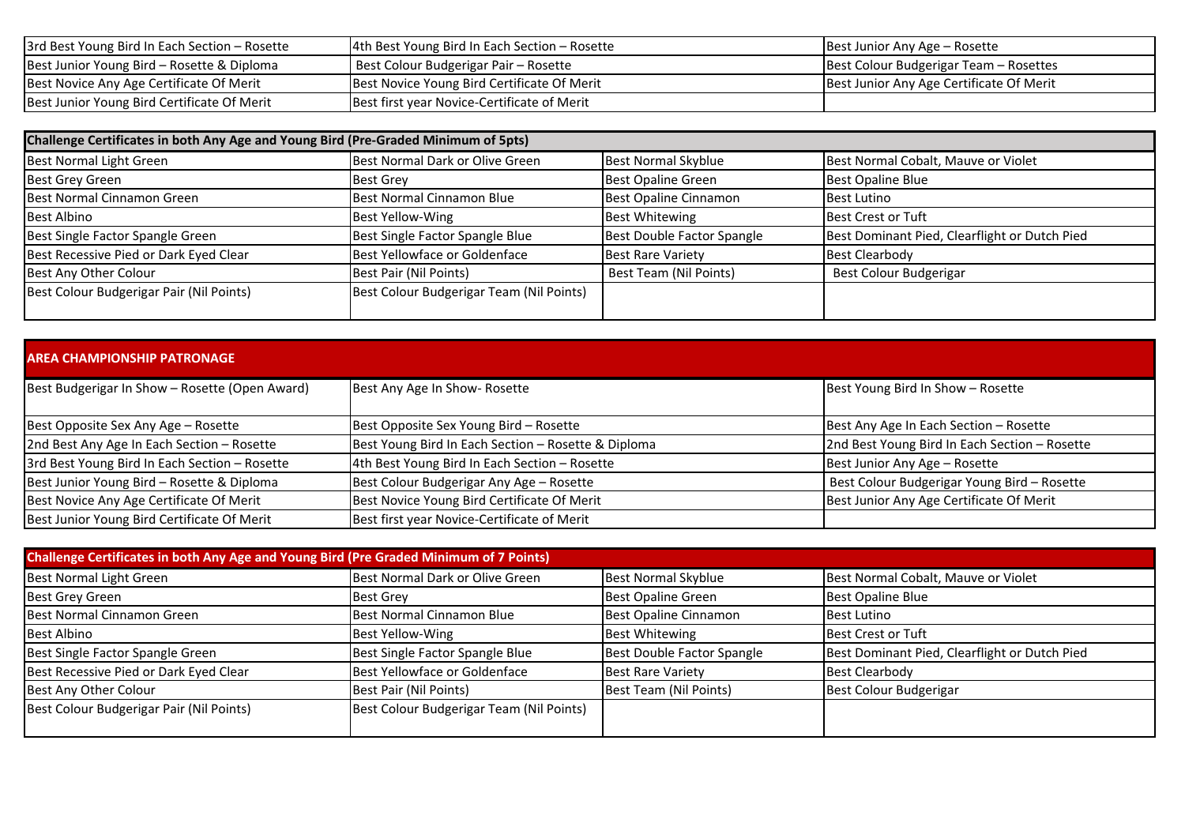| 3rd Best Young Bird In Each Section - Rosette | 4th Best Young Bird In Each Section - Rosette | Best Junior Any Age – Rosette            |
|-----------------------------------------------|-----------------------------------------------|------------------------------------------|
| Best Junior Young Bird - Rosette & Diploma    | Best Colour Budgerigar Pair - Rosette         | Best Colour Budgerigar Team – Rosettes   |
| Best Novice Any Age Certificate Of Merit      | Best Novice Young Bird Certificate Of Merit   | Best Junior Any Age Certificate Of Merit |
| Best Junior Young Bird Certificate Of Merit   | Best first year Novice-Certificate of Merit   |                                          |

| Challenge Certificates in both Any Age and Young Bird (Pre-Graded Minimum of 5pts) |                                          |                            |                                               |
|------------------------------------------------------------------------------------|------------------------------------------|----------------------------|-----------------------------------------------|
| Best Normal Light Green                                                            | Best Normal Dark or Olive Green          | <b>Best Normal Skyblue</b> | Best Normal Cobalt, Mauve or Violet           |
| Best Grey Green                                                                    | <b>Best Grey</b>                         | <b>Best Opaline Green</b>  | Best Opaline Blue                             |
| Best Normal Cinnamon Green                                                         | Best Normal Cinnamon Blue                | Best Opaline Cinnamon      | Best Lutino                                   |
| <b>Best Albino</b>                                                                 | Best Yellow-Wing                         | <b>Best Whitewing</b>      | Best Crest or Tuft                            |
| Best Single Factor Spangle Green                                                   | Best Single Factor Spangle Blue          | Best Double Factor Spangle | Best Dominant Pied, Clearflight or Dutch Pied |
| Best Recessive Pied or Dark Eyed Clear                                             | Best Yellowface or Goldenface            | <b>Best Rare Variety</b>   | <b>Best Clearbody</b>                         |
| Best Any Other Colour                                                              | Best Pair (Nil Points)                   | Best Team (Nil Points)     | Best Colour Budgerigar                        |
| Best Colour Budgerigar Pair (Nil Points)                                           | Best Colour Budgerigar Team (Nil Points) |                            |                                               |

| <b>AREA CHAMPIONSHIP PATRONAGE</b>             |                                                     |                                               |  |
|------------------------------------------------|-----------------------------------------------------|-----------------------------------------------|--|
| Best Budgerigar In Show - Rosette (Open Award) | Best Any Age In Show- Rosette                       | Best Young Bird In Show - Rosette             |  |
| Best Opposite Sex Any Age - Rosette            | Best Opposite Sex Young Bird - Rosette              | Best Any Age In Each Section - Rosette        |  |
| 2nd Best Any Age In Each Section - Rosette     | Best Young Bird In Each Section - Rosette & Diploma | 2nd Best Young Bird In Each Section - Rosette |  |
| 3rd Best Young Bird In Each Section - Rosette  | 4th Best Young Bird In Each Section - Rosette       | Best Junior Any Age - Rosette                 |  |
| Best Junior Young Bird - Rosette & Diploma     | Best Colour Budgerigar Any Age - Rosette            | Best Colour Budgerigar Young Bird - Rosette   |  |
| Best Novice Any Age Certificate Of Merit       | Best Novice Young Bird Certificate Of Merit         | Best Junior Any Age Certificate Of Merit      |  |
| Best Junior Young Bird Certificate Of Merit    | Best first year Novice-Certificate of Merit         |                                               |  |

| Challenge Certificates in both Any Age and Young Bird (Pre Graded Minimum of 7 Points) |                                          |                            |                                               |
|----------------------------------------------------------------------------------------|------------------------------------------|----------------------------|-----------------------------------------------|
| Best Normal Light Green                                                                | Best Normal Dark or Olive Green          | <b>Best Normal Skyblue</b> | Best Normal Cobalt, Mauve or Violet           |
| <b>Best Grey Green</b>                                                                 | <b>Best Grey</b>                         | <b>Best Opaline Green</b>  | <b>Best Opaline Blue</b>                      |
| Best Normal Cinnamon Green                                                             | Best Normal Cinnamon Blue                | Best Opaline Cinnamon      | <b>Best Lutino</b>                            |
| <b>Best Albino</b>                                                                     | Best Yellow-Wing                         | <b>Best Whitewing</b>      | Best Crest or Tuft                            |
| Best Single Factor Spangle Green                                                       | Best Single Factor Spangle Blue          | Best Double Factor Spangle | Best Dominant Pied, Clearflight or Dutch Pied |
| Best Recessive Pied or Dark Eyed Clear                                                 | Best Yellowface or Goldenface            | <b>Best Rare Variety</b>   | <b>Best Clearbody</b>                         |
| Best Any Other Colour                                                                  | Best Pair (Nil Points)                   | Best Team (Nil Points)     | Best Colour Budgerigar                        |
| Best Colour Budgerigar Pair (Nil Points)                                               | Best Colour Budgerigar Team (Nil Points) |                            |                                               |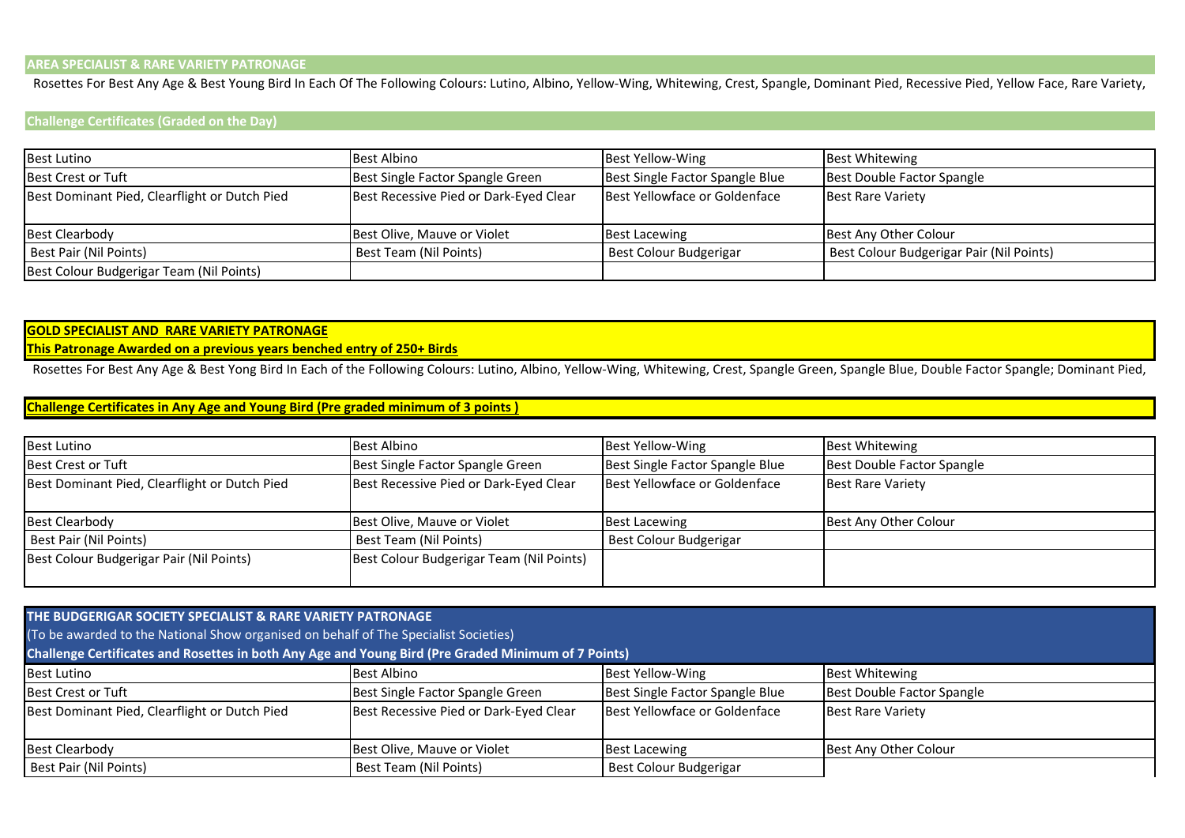### **AREA SPECIALIST & RARE VARIETY PATRONAGE**

Rosettes For Best Any Age & Best Young Bird In Each Of The Following Colours: Lutino, Albino, Yellow-Wing, Whitewing, Crest, Spangle, Dominant Pied, Recessive Pied, Yellow Face, Rare Variety,

#### **Challenge Certificates (Graded on the Day)**

| <b>Best Lutino</b>                            | <b>Best Albino</b>                     | <b>Best Yellow-Wing</b>         | <b>Best Whitewing</b>                    |
|-----------------------------------------------|----------------------------------------|---------------------------------|------------------------------------------|
| Best Crest or Tuft                            | Best Single Factor Spangle Green       | Best Single Factor Spangle Blue | Best Double Factor Spangle               |
| Best Dominant Pied, Clearflight or Dutch Pied | Best Recessive Pied or Dark-Eyed Clear | Best Yellowface or Goldenface   | <b>Best Rare Variety</b>                 |
|                                               |                                        |                                 |                                          |
| <b>Best Clearbody</b>                         | Best Olive, Mauve or Violet            | <b>Best Lacewing</b>            | Best Any Other Colour                    |
| Best Pair (Nil Points)                        | Best Team (Nil Points)                 | Best Colour Budgerigar          | Best Colour Budgerigar Pair (Nil Points) |
| Best Colour Budgerigar Team (Nil Points)      |                                        |                                 |                                          |

## **GOLD SPECIALIST AND RARE VARIETY PATRONAGE**

#### **This Patronage Awarded on a previous years benched entry of 250+ Birds**

Rosettes For Best Any Age & Best Yong Bird In Each of the Following Colours: Lutino, Albino, Yellow-Wing, Whitewing, Crest, Spangle Green, Spangle Blue, Double Factor Spangle; Dominant Pied,

## **Challenge Certificates in Any Age and Young Bird (Pre graded minimum of 3 points )**

| <b>Best Lutino</b>                            | <b>Best Albino</b>                       | <b>Best Yellow-Wing</b>         | <b>Best Whitewing</b>      |
|-----------------------------------------------|------------------------------------------|---------------------------------|----------------------------|
| Best Crest or Tuft                            | Best Single Factor Spangle Green         | Best Single Factor Spangle Blue | Best Double Factor Spangle |
| Best Dominant Pied, Clearflight or Dutch Pied | Best Recessive Pied or Dark-Eyed Clear   | Best Yellowface or Goldenface   | <b>Best Rare Variety</b>   |
| <b>Best Clearbody</b>                         | Best Olive, Mauve or Violet              | <b>Best Lacewing</b>            | Best Any Other Colour      |
| Best Pair (Nil Points)                        | Best Team (Nil Points)                   | Best Colour Budgerigar          |                            |
| Best Colour Budgerigar Pair (Nil Points)      | Best Colour Budgerigar Team (Nil Points) |                                 |                            |

| THE BUDGERIGAR SOCIETY SPECIALIST & RARE VARIETY PATRONAGE<br>(To be awarded to the National Show organised on behalf of The Specialist Societies)<br>Challenge Certificates and Rosettes in both Any Age and Young Bird (Pre Graded Minimum of 7 Points) |                                        |                                 |                            |
|-----------------------------------------------------------------------------------------------------------------------------------------------------------------------------------------------------------------------------------------------------------|----------------------------------------|---------------------------------|----------------------------|
| <b>Best Lutino</b>                                                                                                                                                                                                                                        | Best Albino                            | Best Yellow-Wing                | <b>Best Whitewing</b>      |
| <b>Best Crest or Tuft</b>                                                                                                                                                                                                                                 | Best Single Factor Spangle Green       | Best Single Factor Spangle Blue | Best Double Factor Spangle |
| Best Dominant Pied, Clearflight or Dutch Pied                                                                                                                                                                                                             | Best Recessive Pied or Dark-Eyed Clear | Best Yellowface or Goldenface   | <b>Best Rare Variety</b>   |
| Best Clearbody                                                                                                                                                                                                                                            | Best Olive, Mauve or Violet            | <b>Best Lacewing</b>            | Best Any Other Colour      |
| Best Pair (Nil Points)                                                                                                                                                                                                                                    | Best Team (Nil Points)                 | Best Colour Budgerigar          |                            |